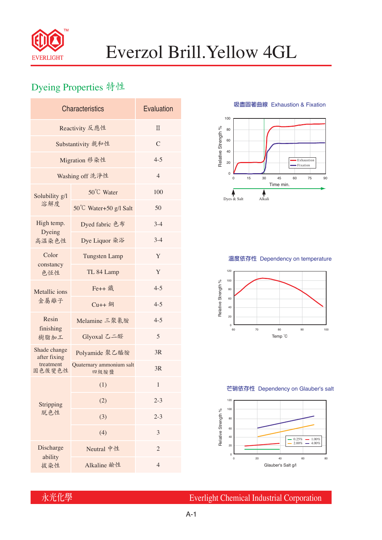

# Everzol Brill.Yellow 4GL

## Dyeing Properties 特性

| <b>Characteristics</b>        | Evaluation                       |                |  |  |  |
|-------------------------------|----------------------------------|----------------|--|--|--|
| Reactivity 反應性                | $\Pi$                            |                |  |  |  |
| Substantivity 親和性             | $\mathcal{C}$                    |                |  |  |  |
| Migration 移染性                 | $4 - 5$                          |                |  |  |  |
| Washing off 洗淨性               | $\overline{4}$                   |                |  |  |  |
| Solubility g/l<br>溶解度         | 50°C Water                       | 100            |  |  |  |
|                               | 50°C Water+50 g/l Salt           | 50             |  |  |  |
| High temp.<br>Dyeing<br>高溫染色性 | Dyed fabric 色布                   | $3-4$          |  |  |  |
|                               | Dye Liquor 染浴                    | $3 - 4$        |  |  |  |
| Color<br>constancy<br>色恆性     | <b>Tungsten Lamp</b>             | Y              |  |  |  |
|                               | TL 84 Lamp                       | Y              |  |  |  |
| Metallic ions<br>金屬離子         | Fe++ 鐵                           | $4 - 5$        |  |  |  |
|                               | $Cu++4$                          | $4 - 5$        |  |  |  |
| Resin<br>finishing<br>樹脂加工    | Melamine 三聚氰胺                    | $4 - 5$        |  |  |  |
|                               | Glyoxal 乙二醛                      | 5              |  |  |  |
| Shade change<br>after fixing  | Polyamide 聚乙醯胺                   | 3R             |  |  |  |
| treatment<br>固色後變色性           | Quaternary ammonium salt<br>四級胺鹽 | 3R             |  |  |  |
|                               | (1)                              | $\mathbf{1}$   |  |  |  |
| Stripping<br>脱色性              | (2)                              | $2 - 3$        |  |  |  |
|                               | (3)                              | $2 - 3$        |  |  |  |
|                               | (4)                              | 3              |  |  |  |
| Discharge<br>ability          | Neutral 中性                       | $\overline{2}$ |  |  |  |
| 拔染性                           | Alkaline 鹼性                      | $\overline{4}$ |  |  |  |

**吸盡固著曲線** Exhaustion & Fixation



### **溫度依存性** Dependency on temperature



#### **芒硝依存性** Dependency on Glauber's salt